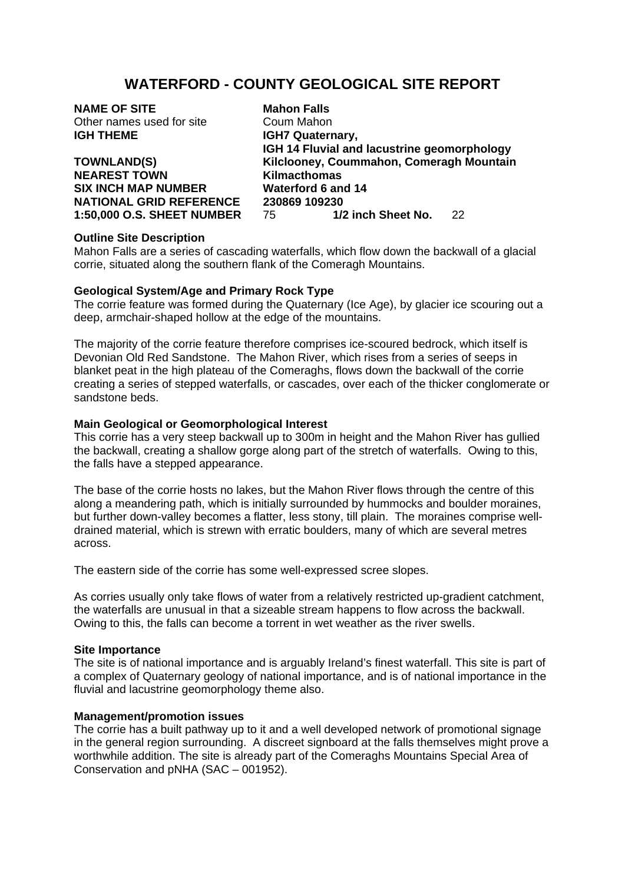# **WATERFORD - COUNTY GEOLOGICAL SITE REPORT**

**NAME OF SITE Mahon Falls** Other names used for site Coum Mahon **IGH THEME IGH7 Quaternary.** 

**NEAREST TOWN Kilmacthomas SIX INCH MAP NUMBER Waterford 6 and 14** 

**IGH 14 Fluvial and lacustrine geomorphology TOWNLAND(S) Kilclooney, Coummahon, Comeragh Mountain NATIONAL GRID REFERENCE** 230869 109230<br>1:50,000 O.S. SHEFT NUMBER 75 1/2 inch Sheet No. **1:50,000 O.S. SHEET NUMBER** 75 **1/2 inch Sheet No.** 22

## **Outline Site Description**

Mahon Falls are a series of cascading waterfalls, which flow down the backwall of a glacial corrie, situated along the southern flank of the Comeragh Mountains.

#### **Geological System/Age and Primary Rock Type**

The corrie feature was formed during the Quaternary (Ice Age), by glacier ice scouring out a deep, armchair-shaped hollow at the edge of the mountains.

The majority of the corrie feature therefore comprises ice-scoured bedrock, which itself is Devonian Old Red Sandstone. The Mahon River, which rises from a series of seeps in blanket peat in the high plateau of the Comeraghs, flows down the backwall of the corrie creating a series of stepped waterfalls, or cascades, over each of the thicker conglomerate or sandstone beds.

#### **Main Geological or Geomorphological Interest**

This corrie has a very steep backwall up to 300m in height and the Mahon River has gullied the backwall, creating a shallow gorge along part of the stretch of waterfalls. Owing to this, the falls have a stepped appearance.

The base of the corrie hosts no lakes, but the Mahon River flows through the centre of this along a meandering path, which is initially surrounded by hummocks and boulder moraines, but further down-valley becomes a flatter, less stony, till plain. The moraines comprise welldrained material, which is strewn with erratic boulders, many of which are several metres across.

The eastern side of the corrie has some well-expressed scree slopes.

As corries usually only take flows of water from a relatively restricted up-gradient catchment, the waterfalls are unusual in that a sizeable stream happens to flow across the backwall. Owing to this, the falls can become a torrent in wet weather as the river swells.

#### **Site Importance**

The site is of national importance and is arguably Ireland's finest waterfall. This site is part of a complex of Quaternary geology of national importance, and is of national importance in the fluvial and lacustrine geomorphology theme also.

## **Management/promotion issues**

The corrie has a built pathway up to it and a well developed network of promotional signage in the general region surrounding. A discreet signboard at the falls themselves might prove a worthwhile addition. The site is already part of the Comeraghs Mountains Special Area of Conservation and pNHA (SAC – 001952).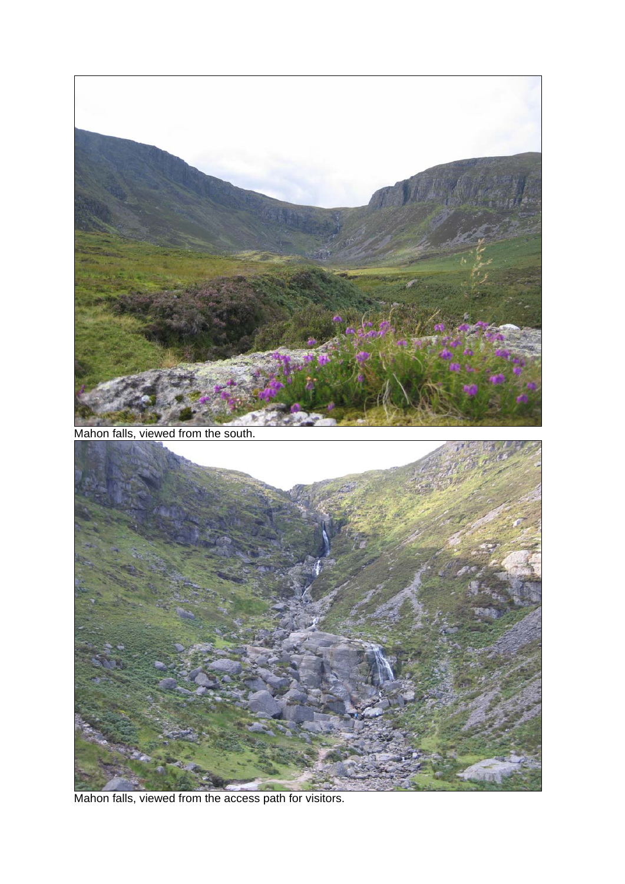

Mahon falls, viewed from the access path for visitors.